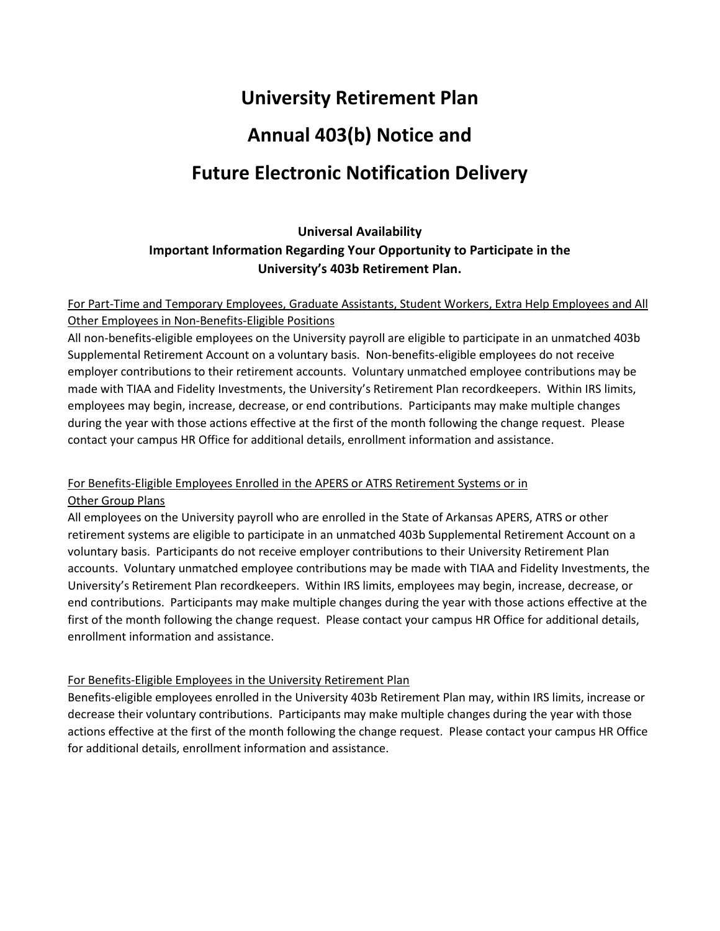# **University Retirement Plan Annual 403(b) Notice and Future Electronic Notification Delivery**

# **Universal Availability Important Information Regarding Your Opportunity to Participate in the**

#### **University's 403b Retirement Plan.**

### For Part-Time and Temporary Employees, Graduate Assistants, Student Workers, Extra Help Employees and All Other Employees in Non-Benefits-Eligible Positions

All non-benefits-eligible employees on the University payroll are eligible to participate in an unmatched 403b Supplemental Retirement Account on a voluntary basis. Non-benefits-eligible employees do not receive employer contributions to their retirement accounts. Voluntary unmatched employee contributions may be made with TIAA and Fidelity Investments, the University's Retirement Plan recordkeepers. Within IRS limits, employees may begin, increase, decrease, or end contributions. Participants may make multiple changes during the year with those actions effective at the first of the month following the change request. Please contact your campus HR Office for additional details, enrollment information and assistance.

#### For Benefits-Eligible Employees Enrolled in the APERS or ATRS Retirement Systems or in Other Group Plans

All employees on the University payroll who are enrolled in the State of Arkansas APERS, ATRS or other retirement systems are eligible to participate in an unmatched 403b Supplemental Retirement Account on a voluntary basis. Participants do not receive employer contributions to their University Retirement Plan accounts. Voluntary unmatched employee contributions may be made with TIAA and Fidelity Investments, the University's Retirement Plan recordkeepers. Within IRS limits, employees may begin, increase, decrease, or end contributions. Participants may make multiple changes during the year with those actions effective at the first of the month following the change request. Please contact your campus HR Office for additional details, enrollment information and assistance.

# For Benefits-Eligible Employees in the University Retirement Plan

Benefits-eligible employees enrolled in the University 403b Retirement Plan may, within IRS limits, increase or decrease their voluntary contributions. Participants may make multiple changes during the year with those actions effective at the first of the month following the change request. Please contact your campus HR Office for additional details, enrollment information and assistance.